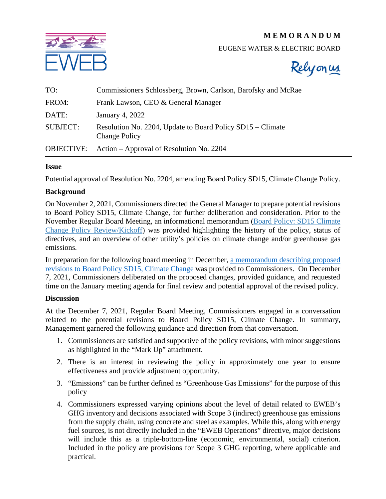# **M E M O R A N D U M**



### EUGENE WATER & ELECTRIC BOARD



| TO:               | Commissioners Schlossberg, Brown, Carlson, Barofsky and McRae                      |
|-------------------|------------------------------------------------------------------------------------|
| FROM:             | Frank Lawson, CEO & General Manager                                                |
| DATE:             | January 4, 2022                                                                    |
| <b>SUBJECT:</b>   | Resolution No. 2204, Update to Board Policy SD15 – Climate<br><b>Change Policy</b> |
| <b>OBJECTIVE:</b> | Action – Approval of Resolution No. 2204                                           |

#### **Issue**

Potential approval of Resolution No. 2204, amending Board Policy SD15, Climate Change Policy.

#### **Background**

On November 2, 2021, Commissioners directed the General Manager to prepare potential revisions to Board Policy SD15, Climate Change, for further deliberation and consideration. Prior to the November Regular Board Meeting, an informational memorandum [\(Board Policy: SD15 Climate](https://www.eweb.org/documents/board-meetings/2021/11-02-21/m14-board-policy-sd15-climate-change-policy-review.pdf)  [Change Policy Review/Kickoff\)](https://www.eweb.org/documents/board-meetings/2021/11-02-21/m14-board-policy-sd15-climate-change-policy-review.pdf) was provided highlighting the history of the policy, status of directives, and an overview of other utility's policies on climate change and/or greenhouse gas emissions.

In preparation for the following board meeting in December, a memorandum describing proposed [revisions to Board Policy SD15, Climate Change](https://www.eweb.org/documents/board-meetings/2021/12-07-21/m12-sd15-climate-change-policy-potential-revisions-12-07-2021.pdf) was provided to Commissioners. On December 7, 2021, Commissioners deliberated on the proposed changes, provided guidance, and requested time on the January meeting agenda for final review and potential approval of the revised policy.

#### **Discussion**

At the December 7, 2021, Regular Board Meeting, Commissioners engaged in a conversation related to the potential revisions to Board Policy SD15, Climate Change. In summary, Management garnered the following guidance and direction from that conversation.

- 1. Commissioners are satisfied and supportive of the policy revisions, with minor suggestions as highlighted in the "Mark Up" attachment.
- 2. There is an interest in reviewing the policy in approximately one year to ensure effectiveness and provide adjustment opportunity.
- 3. "Emissions" can be further defined as "Greenhouse Gas Emissions" for the purpose of this policy
- 4. Commissioners expressed varying opinions about the level of detail related to EWEB's GHG inventory and decisions associated with Scope 3 (indirect) greenhouse gas emissions from the supply chain, using concrete and steel as examples. While this, along with energy fuel sources, is not directly included in the "EWEB Operations" directive, major decisions will include this as a triple-bottom-line (economic, environmental, social) criterion. Included in the policy are provisions for Scope 3 GHG reporting, where applicable and practical.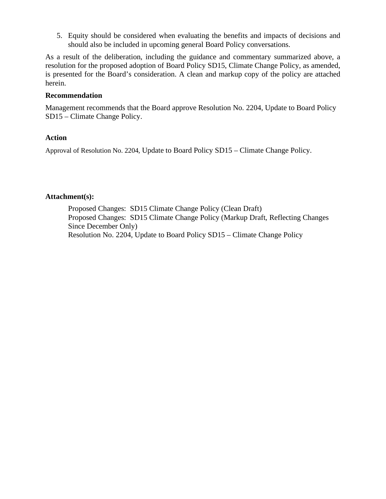5. Equity should be considered when evaluating the benefits and impacts of decisions and should also be included in upcoming general Board Policy conversations.

As a result of the deliberation, including the guidance and commentary summarized above, a resolution for the proposed adoption of Board Policy SD15, Climate Change Policy, as amended, is presented for the Board's consideration. A clean and markup copy of the policy are attached herein.

### **Recommendation**

Management recommends that the Board approve Resolution No. 2204, Update to Board Policy SD15 – Climate Change Policy.

### **Action**

Approval of Resolution No. 2204, Update to Board Policy SD15 – Climate Change Policy.

#### **Attachment(s):**

Proposed Changes: SD15 Climate Change Policy (Clean Draft) Proposed Changes: SD15 Climate Change Policy (Markup Draft, Reflecting Changes Since December Only) Resolution No. 2204, Update to Board Policy SD15 – Climate Change Policy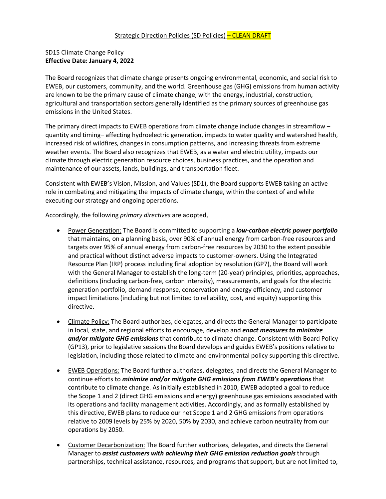## SD15 Climate Change Policy **Effective Date: January 4, 2022**

The Board recognizes that climate change presents ongoing environmental, economic, and social risk to EWEB, our customers, community, and the world. Greenhouse gas (GHG) emissions from human activity are known to be the primary cause of climate change, with the energy, industrial, construction, agricultural and transportation sectors generally identified as the primary sources of greenhouse gas emissions in the United States.

The primary direct impacts to EWEB operations from climate change include changes in streamflow – quantity and timing– affecting hydroelectric generation, impacts to water quality and watershed health, increased risk of wildfires, changes in consumption patterns, and increasing threats from extreme weather events. The Board also recognizes that EWEB, as a water and electric utility, impacts our climate through electric generation resource choices, business practices, and the operation and maintenance of our assets, lands, buildings, and transportation fleet.

Consistent with EWEB's Vision, Mission, and Values (SD1), the Board supports EWEB taking an active role in combating and mitigating the impacts of climate change, within the context of and while executing our strategy and ongoing operations.

Accordingly, the following *primary directives* are adopted,

- Power Generation: The Board is committed to supporting a *low-carbon electric power portfolio*  that maintains, on a planning basis, over 90% of annual energy from carbon-free resources and targets over 95% of annual energy from carbon-free resources by 2030 to the extent possible and practical without distinct adverse impacts to customer-owners. Using the Integrated Resource Plan (IRP) process including final adoption by resolution (GP7), the Board will work with the General Manager to establish the long-term (20-year) principles, priorities, approaches, definitions (including carbon-free, carbon intensity), measurements, and goals for the electric generation portfolio, demand response, conservation and energy efficiency, and customer impact limitations (including but not limited to reliability, cost, and equity) supporting this directive.
- Climate Policy: The Board authorizes, delegates, and directs the General Manager to participate in local, state, and regional efforts to encourage, develop and *enact measures to minimize and/or mitigate GHG emissions* that contribute to climate change. Consistent with Board Policy (GP13), prior to legislative sessions the Board develops and guides EWEB's positions relative to legislation, including those related to climate and environmental policy supporting this directive.
- EWEB Operations: The Board further authorizes, delegates, and directs the General Manager to continue efforts to *minimize and/or mitigate GHG emissions from EWEB's operations* that contribute to climate change. As initially established in 2010, EWEB adopted a goal to reduce the Scope 1 and 2 (direct GHG emissions and energy) greenhouse gas emissions associated with its operations and facility management activities. Accordingly, and as formally established by this directive, EWEB plans to reduce our net Scope 1 and 2 GHG emissions from operations relative to 2009 levels by 25% by 2020, 50% by 2030, and achieve carbon neutrality from our operations by 2050.
- Customer Decarbonization: The Board further authorizes, delegates, and directs the General Manager to *assist customers with achieving their GHG emission reduction goals* through partnerships, technical assistance, resources, and programs that support, but are not limited to,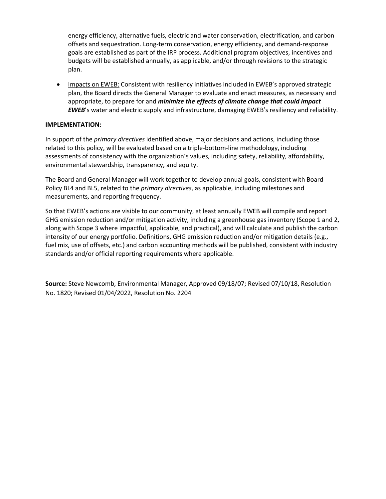energy efficiency, alternative fuels, electric and water conservation, electrification, and carbon offsets and sequestration. Long-term conservation, energy efficiency, and demand-response goals are established as part of the IRP process. Additional program objectives, incentives and budgets will be established annually, as applicable, and/or through revisions to the strategic plan.

• Impacts on EWEB: Consistent with resiliency initiatives included in EWEB's approved strategic plan, the Board directs the General Manager to evaluate and enact measures, as necessary and appropriate, to prepare for and *minimize the effects of climate change that could impact EWEB*'s water and electric supply and infrastructure, damaging EWEB's resiliency and reliability.

#### **IMPLEMENTATION:**

In support of the *primary directives* identified above, major decisions and actions, including those related to this policy, will be evaluated based on a triple-bottom-line methodology, including assessments of consistency with the organization's values, including safety, reliability, affordability, environmental stewardship, transparency, and equity.

The Board and General Manager will work together to develop annual goals, consistent with Board Policy BL4 and BL5, related to the *primary directives*, as applicable, including milestones and measurements, and reporting frequency.

So that EWEB's actions are visible to our community, at least annually EWEB will compile and report GHG emission reduction and/or mitigation activity, including a greenhouse gas inventory (Scope 1 and 2, along with Scope 3 where impactful, applicable, and practical), and will calculate and publish the carbon intensity of our energy portfolio. Definitions, GHG emission reduction and/or mitigation details (e.g., fuel mix, use of offsets, etc.) and carbon accounting methods will be published, consistent with industry standards and/or official reporting requirements where applicable.

**Source:** Steve Newcomb, Environmental Manager, Approved 09/18/07; Revised 07/10/18, Resolution No. 1820; Revised 01/04/2022, Resolution No. 2204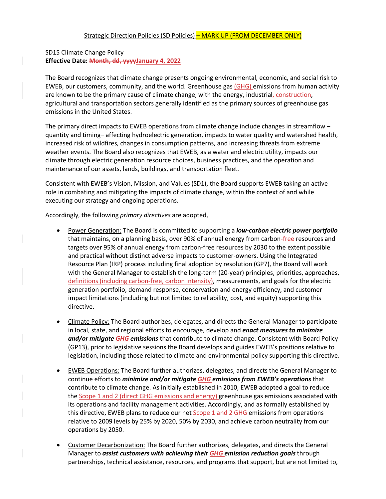# SD15 Climate Change Policy **Effective Date: Month, dd, yyyyJanuary 4, 2022**

The Board recognizes that climate change presents ongoing environmental, economic, and social risk to EWEB, our customers, community, and the world. Greenhouse gas (GHG) emissions from human activity are known to be the primary cause of climate change, with the energy, industrial, construction, agricultural and transportation sectors generally identified as the primary sources of greenhouse gas emissions in the United States.

The primary direct impacts to EWEB operations from climate change include changes in streamflow – quantity and timing– affecting hydroelectric generation, impacts to water quality and watershed health, increased risk of wildfires, changes in consumption patterns, and increasing threats from extreme weather events. The Board also recognizes that EWEB, as a water and electric utility, impacts our climate through electric generation resource choices, business practices, and the operation and maintenance of our assets, lands, buildings, and transportation fleet.

Consistent with EWEB's Vision, Mission, and Values (SD1), the Board supports EWEB taking an active role in combating and mitigating the impacts of climate change, within the context of and while executing our strategy and ongoing operations.

Accordingly, the following *primary directives* are adopted,

- Power Generation: The Board is committed to supporting a *low-carbon electric power portfolio*  that maintains, on a planning basis, over 90% of annual energy from carbon-free resources and targets over 95% of annual energy from carbon-free resources by 2030 to the extent possible and practical without distinct adverse impacts to customer-owners. Using the Integrated Resource Plan (IRP) process including final adoption by resolution (GP7), the Board will work with the General Manager to establish the long-term (20-year) principles, priorities, approaches, definitions (including carbon-free, carbon intensity), measurements, and goals for the electric generation portfolio, demand response, conservation and energy efficiency, and customer impact limitations (including but not limited to reliability, cost, and equity) supporting this directive.
- Climate Policy: The Board authorizes, delegates, and directs the General Manager to participate in local, state, and regional efforts to encourage, develop and *enact measures to minimize and/or mitigate GHG emissions* that contribute to climate change. Consistent with Board Policy (GP13), prior to legislative sessions the Board develops and guides EWEB's positions relative to legislation, including those related to climate and environmental policy supporting this directive.
- EWEB Operations: The Board further authorizes, delegates, and directs the General Manager to continue efforts to *minimize and/or mitigate GHG emissions from EWEB's operations* that contribute to climate change. As initially established in 2010, EWEB adopted a goal to reduce the Scope 1 and 2 (direct GHG emissions and energy) greenhouse gas emissions associated with its operations and facility management activities. Accordingly, and as formally established by this directive, EWEB plans to reduce our net Scope 1 and 2 GHG emissions from operations relative to 2009 levels by 25% by 2020, 50% by 2030, and achieve carbon neutrality from our operations by 2050.
- Customer Decarbonization: The Board further authorizes, delegates, and directs the General Manager to *assist customers with achieving their GHG emission reduction goals* through partnerships, technical assistance, resources, and programs that support, but are not limited to,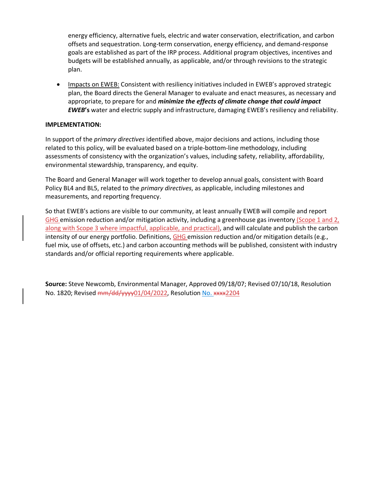energy efficiency, alternative fuels, electric and water conservation, electrification, and carbon offsets and sequestration. Long-term conservation, energy efficiency, and demand-response goals are established as part of the IRP process. Additional program objectives, incentives and budgets will be established annually, as applicable, and/or through revisions to the strategic plan.

• Impacts on EWEB: Consistent with resiliency initiatives included in EWEB's approved strategic plan, the Board directs the General Manager to evaluate and enact measures, as necessary and appropriate, to prepare for and *minimize the effects of climate change that could impact EWEB***'s** water and electric supply and infrastructure, damaging EWEB's resiliency and reliability.

#### **IMPLEMENTATION:**

In support of the *primary directives* identified above, major decisions and actions, including those related to this policy, will be evaluated based on a triple-bottom-line methodology, including assessments of consistency with the organization's values, including safety, reliability, affordability, environmental stewardship, transparency, and equity.

The Board and General Manager will work together to develop annual goals, consistent with Board Policy BL4 and BL5, related to the *primary directives*, as applicable, including milestones and measurements, and reporting frequency.

So that EWEB's actions are visible to our community, at least annually EWEB will compile and report GHG emission reduction and/or mitigation activity, including a greenhouse gas inventory (Scope 1 and  $2<sub>i</sub>$ along with Scope 3 where impactful, applicable, and practical), and will calculate and publish the carbon intensity of our energy portfolio. Definitions, GHG emission reduction and/or mitigation details (e.g., fuel mix, use of offsets, etc.) and carbon accounting methods will be published, consistent with industry standards and/or official reporting requirements where applicable.

**Source:** Steve Newcomb, Environmental Manager, Approved 09/18/07; Revised 07/10/18, Resolution No. 1820; Revised mm/dd/yyyy01/04/2022, Resolution No. xxxx2204